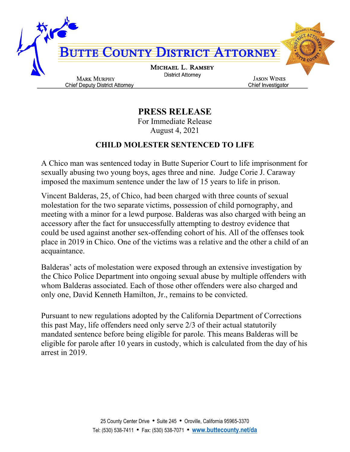

**PRESS RELEASE**

For Immediate Release August 4, 2021

## **CHILD MOLESTER SENTENCED TO LIFE**

A Chico man was sentenced today in Butte Superior Court to life imprisonment for sexually abusing two young boys, ages three and nine. Judge Corie J. Caraway imposed the maximum sentence under the law of 15 years to life in prison.

Vincent Balderas, 25, of Chico, had been charged with three counts of sexual molestation for the two separate victims, possession of child pornography, and meeting with a minor for a lewd purpose. Balderas was also charged with being an accessory after the fact for unsuccessfully attempting to destroy evidence that could be used against another sex-offending cohort of his. All of the offenses took place in 2019 in Chico. One of the victims was a relative and the other a child of an acquaintance.

Balderas' acts of molestation were exposed through an extensive investigation by the Chico Police Department into ongoing sexual abuse by multiple offenders with whom Balderas associated. Each of those other offenders were also charged and only one, David Kenneth Hamilton, Jr., remains to be convicted.

Pursuant to new regulations adopted by the California Department of Corrections this past May, life offenders need only serve 2/3 of their actual statutorily mandated sentence before being eligible for parole. This means Balderas will be eligible for parole after 10 years in custody, which is calculated from the day of his arrest in 2019.